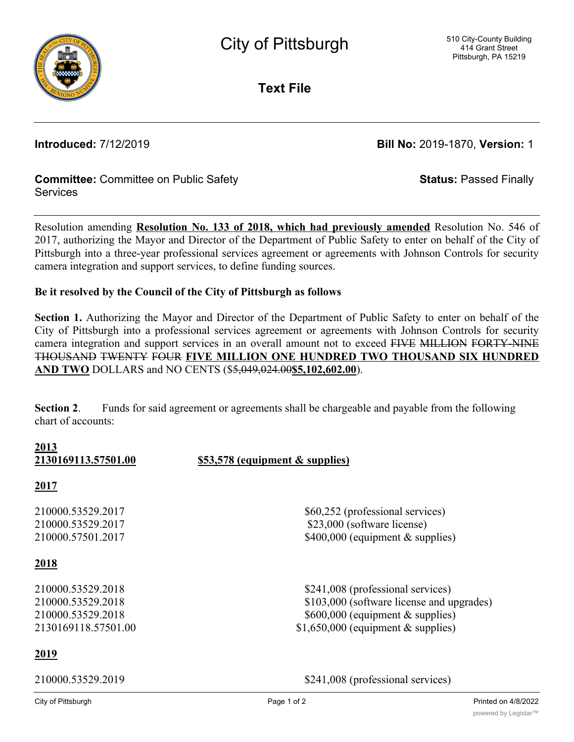

**Text File**

**Introduced:** 7/12/2019 **Bill No:** 2019-1870, **Version:** 1

**Status:** Passed Finally

# **Committee:** Committee on Public Safety Services

Resolution amending **Resolution No. 133 of 2018, which had previously amended** Resolution No. 546 of 2017, authorizing the Mayor and Director of the Department of Public Safety to enter on behalf of the City of Pittsburgh into a three-year professional services agreement or agreements with Johnson Controls for security camera integration and support services, to define funding sources.

# **Be it resolved by the Council of the City of Pittsburgh as follows**

**Section 1.** Authorizing the Mayor and Director of the Department of Public Safety to enter on behalf of the City of Pittsburgh into a professional services agreement or agreements with Johnson Controls for security camera integration and support services in an overall amount not to exceed FIVE MILLION FORTY-NINE THOUSAND TWENTY FOUR **FIVE MILLION ONE HUNDRED TWO THOUSAND SIX HUNDRED AND TWO** DOLLARS and NO CENTS (\$5,049,024.00**\$5,102,602.00**).

**Section 2**. Funds for said agreement or agreements shall be chargeable and payable from the following chart of accounts:

**2013**

**2130169113.57501.00 \$53,578 (equipment & supplies)**

# **2017**

# **2018**

# **2019**

210000.53529.2017 \$60,252 (professional services) 210000.53529.2017 \$23,000 (software license) 210000.57501.2017 \$400,000 (equipment & supplies)

210000.53529.2018 \$241,008 (professional services) 210000.53529.2018 \$103,000 (software license and upgrades) 210000.53529.2018 \$600,000 (equipment & supplies) 2130169118.57501.00 \$1,650,000 (equipment & supplies)

210000.53529.2019 \$241,008 (professional services)